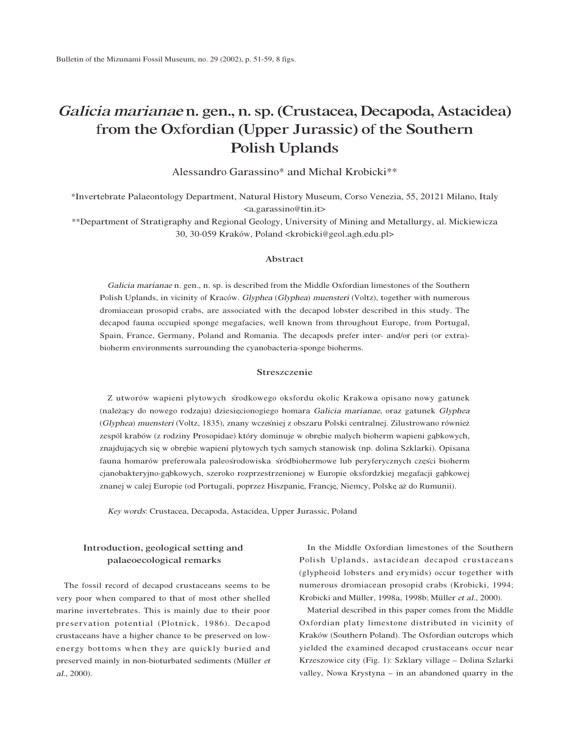# <sup>G</sup>alici<sup>a</sup> <sup>m</sup>ariana<sup>e</sup> n. gen., n. sp. (Crustacea, Decapoda, Astacidea) from the Oxfordian (Upper Jurassic) of the Southern Polish Uplands

Alessandro Garassino\* and Michal Krobicki\*\*

\*Invertebrate Palaeontology Department, Natural History Museum, Corso Venezia, 55, 20121 Milano, Italy <a.garassino@tin.it>

\*\*Department of Stratigraphy and Regional Geology, University of Mining and Metallurgy, al. Mickiewicza 30, 30-059 Kraków, Poland <krobicki@geol.agh.edu.pl>

## Abstract

Galici<sup>a</sup> <sup>m</sup>ariana<sup>e</sup> n. gen., n. sp. is described from the Middle Oxfordian limestones of the Southern Polish Uplands, in vicinity of Kraców. <sup>G</sup>lyphe<sup>a</sup> (Glyphea) <sup>m</sup>uenster<sup>i</sup> (Voltz), together with numerous dromiacean prosopid crabs, are associated with the decapod lobster described in this study. The decapod fauna occupied sponge megafacies, well known from throughout Europe, from Portugal, Spain, France, Germany, Poland and Romania. The decapods prefer inter- and/or peri (or extra) bioherm environments surrounding the cyanobacteria-sponge bioherms.

## Streszczenie

Z utworów wapieni plytowych środkowego oksfordu okolic Krakowa opisano nowy gatunek (należący do nowego rodzaju) dziesięcionogiego homara Galicia marianae, oraz gatunek Glyphea (Glyphea) <sup>m</sup>uenster<sup>i</sup> (Voltz, 1835), znany wczes´niej z obszaru Polski centralnej. Zilustrowano równiez˙ zespól krabów (z rodziny Prosopidae) który dominuje w obrębie malych bioherm wapieni gąbkowych, znajdujących się w obrębie wapieni plytowych tych samych stanowisk (np. dolina Szklarki). Opisana fauna homarów preferowala paleos´rodowiska s´ródbiohermowe lub peryferycznych części bioherm cjanobakteryjno-gąbkowych, szeroko rozprzestrzenionej w Europie oksfordzkiej megafacji gąbkowej znanej w calej Europie (od Portugali, poprzez Hiszpanię, Francję, Niemcy, Polskę aż do Rumunii).

<sup>K</sup>ey <sup>w</sup>ords: Crustacea, Decapoda, Astacidea, Upper Jurassic, Poland

## Introduction, geological setting and palaeoecological remarks

The fossil record of decapod crustaceans seems to be very poor when compared to that of most other shelled marine invertebrates. This is mainly due to their poor preservation potential (Plotnick, 1986). Decapod crustaceans have a higher chance to be preserved on lowenergy bottoms when they are quickly buried and preserved mainly in non-bioturbated sediments (Müller <sup>e</sup><sup>t</sup> <sup>a</sup>l., 2000).

In the Middle Oxfordian limestones of the Southern Polish Uplands, astacidean decapod crustaceans (glypheoid lobsters and erymids) occur together with numerous dromiacean prosopid crabs (Krobicki, 1994; Krobicki and Müller, 1998a, 1998b; Müller <sup>e</sup><sup>t</sup> <sup>a</sup>l., 2000).

Material described in this paper comes from the Middle Oxfordian platy limestone distributed in vicinity of Kraków (Southern Poland). The Oxfordian outcrops which yielded the examined decapod crustaceans occur near Krzeszowice city (Fig. 1): Szklary village – Dolina Szlarki valley, Nowa Krystyna – in an abandoned quarry in the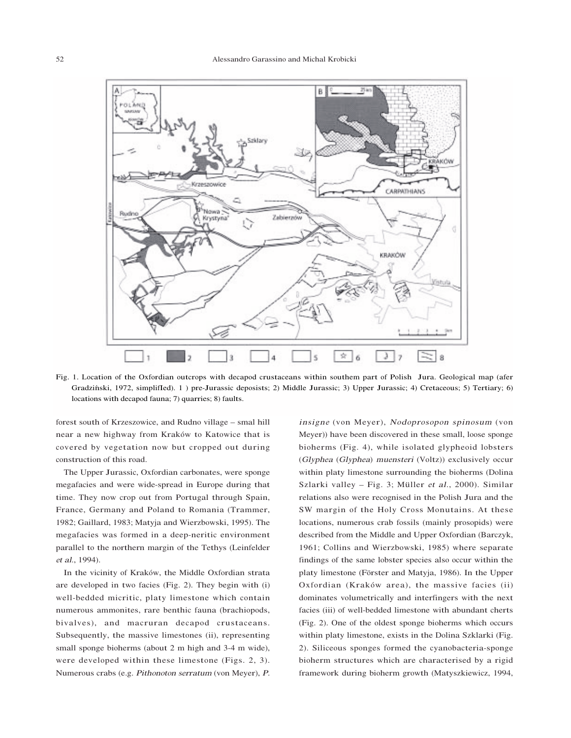

Fig. 1. Location of the Oxfordian outcrops with decapod crustaceans within southem part of Polish Jura. Geological map (afer Gradziński, 1972, simplifIed). 1 ) pre-Jurassic deposists; 2) Middle Jurassic; 3) Upper Jurassic; 4) Cretaceous; 5) Tertiary; 6) locations with decapod fauna; 7) quarries; 8) faults.

forest south of Krzeszowice, and Rudno village – smal hill near a new highway from Kraków to Katowice that is covered by vegetation now but cropped out during construction of this road.

The Upper Jurassic, Oxfordian carbonates, were sponge megafacies and were wide-spread in Europe during that time. They now crop out from Portugal through Spain, France, Germany and Poland to Romania (Trammer, 1982; Gaillard, 1983; Matyja and Wierzbowski, 1995). The megafacies was formed in a deep-neritic environment parallel to the northern margin of the Tethys (Leinfelder <sup>e</sup><sup>t</sup> <sup>a</sup>l., 1994).

In the vicinity of Kraków, the Middle Oxfordian strata are developed in two facies (Fig. 2). They begin with (i) well-bedded micritic, platy limestone which contain numerous ammonites, rare benthic fauna (brachiopods, bivalves), and macruran decapod crustaceans. Subsequently, the massive limestones (ii), representing small sponge bioherms (about 2 m high and 3-4 m wide), were developed within these limestone (Figs. 2, 3). Numerous crabs (e.g. <sup>P</sup>ithonoto<sup>n</sup> <sup>s</sup>erratu<sup>m</sup> (von Meyer), <sup>P</sup>.

<sup>i</sup>nsign<sup>e</sup> (von Meyer), <sup>N</sup>odoprosopo<sup>n</sup> spinosu<sup>m</sup> (von Meyer)) have been discovered in these small, loose sponge bioherms (Fig. 4), while isolated glypheoid lobsters (Glyphe<sup>a</sup> (Glyphea) <sup>m</sup>uenster<sup>i</sup> (Voltz)) exclusively occur within platy limestone surrounding the bioherms (Dolina Szlarki valley – Fig. 3; Müller <sup>e</sup><sup>t</sup> <sup>a</sup>l., 2000). Similar relations also were recognised in the Polish Jura and the SW margin of the Holy Cross Monutains. At these locations, numerous crab fossils (mainly prosopids) were described from the Middle and Upper Oxfordian (Barczyk, 1961; Collins and Wierzbowski, 1985) where separate findings of the same lobster species also occur within the platy limestone (Förster and Matyja, 1986). In the Upper Oxfordian (Kraków area), the massive facies (ii) dominates volumetrically and interfingers with the next facies (iii) of well-bedded limestone with abundant cherts (Fig. 2). One of the oldest sponge bioherms which occurs within platy limestone, exists in the Dolina Szklarki (Fig. 2). Siliceous sponges formed the cyanobacteria-sponge bioherm structures which are characterised by a rigid framework during bioherm growth (Matyszkiewicz, 1994,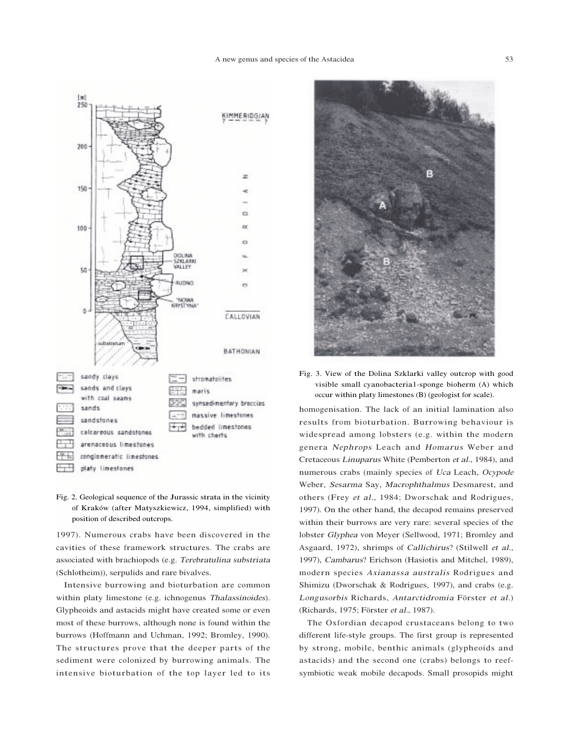

Fig. 2. Geological sequence of the Jurassic strata in the vicinity of Kraków (after Matyszkiewicz, 1994, simplified) with position of described outcrops.

1997). Numerous crabs have been discovered in the cavities of these framework structures. The crabs are associated with brachiopods (e.g. <sup>T</sup>erebratulin<sup>a</sup> substriat<sup>a</sup> (Schlotheim)), serpulids and rare bivalves.

Intensive burrowing and bioturbation are common within platy limestone (e.g. ichnogenus <sup>T</sup>halassinoides). Glypheoids and astacids might have created some or even most of these burrows, although none is found within the burrows (Hoffmann and Uchman, 1992; Bromley, 1990). The structures prove that the deeper parts of the sediment were colonized by burrowing animals. The intensive bioturbation of the top layer led to its



Fig. 3. View of the Dolina Szklarki valley outcrop with good visible small cyanobacteria1-sponge bioherm (A) which occur within platy limestones (B) (geologist for scale).

homogenisation. The lack of an initial lamination also results from bioturbation. Burrowing behaviour is widespread among lobsters (e.g. within the modern genera <sup>N</sup>ephrops Leach and <sup>H</sup>omarus Weber and Cretaceous Linuparus White (Pemberton <sup>e</sup><sup>t</sup> <sup>a</sup>l., 1984), and numerous crabs (mainly species of <sup>U</sup>c<sup>a</sup> Leach, <sup>O</sup>cypod<sup>e</sup> Weber, Sesarm<sup>a</sup> Say, <sup>M</sup>acrophthalmus Desmarest, and others (Frey <sup>e</sup><sup>t</sup> <sup>a</sup>l., 1984; Dworschak and Rodrigues, 1997). On the other hand, the decapod remains preserved within their burrows are very rare: several species of the lobster <sup>G</sup>lyphe<sup>a</sup> von Meyer (Sellwood, 1971; Bromley and Asgaard, 1972), shrimps of <sup>C</sup>allichirus? (Stilwell <sup>e</sup><sup>t</sup> <sup>a</sup>l., 1997), <sup>C</sup>ambarus? Erichson (Hasiotis and Mitchel, 1989), modern species <sup>A</sup>xianass<sup>a</sup> <sup>a</sup>ustrali<sup>s</sup> Rodrigues and Shimizu (Dworschak & Rodrigues, 1997), and crabs (e.g. <sup>L</sup>ongusorbi<sup>s</sup> Richards, <sup>A</sup>ntarctidromi<sup>a</sup> Förster <sup>e</sup><sup>t</sup> <sup>a</sup>l.) (Richards, 1975; Förster <sup>e</sup><sup>t</sup> <sup>a</sup>l., 1987).

The Oxfordian decapod crustaceans belong to two different life-style groups. The first group is represented by strong, mobile, benthic animals (glypheoids and astacids) and the second one (crabs) belongs to reefsymbiotic weak mobile decapods. Small prosopids might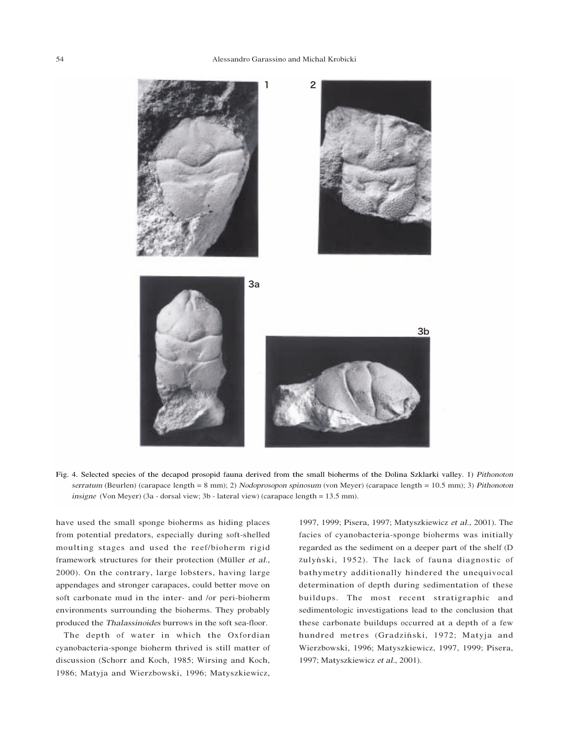#### 54 Alessandro Garassino and Michal Krobicki



Fig. 4. Selected species of the decapod prosopid fauna derived from the small bioherms of the Dolina Szklarki valley. 1) Pithonoto<sup>n</sup> serratum (Beurlen) (carapace length = 8 mm); 2) Nodoprosopon spinosum (von Meyer) (carapace length = 10.5 mm); 3) Pithonoton insign<sup>e</sup> (Von Meyer) (3a - dorsal view; 3b - lateral view) (carapace length = 13.5 mm).

have used the small sponge bioherms as hiding places from potential predators, especially during soft-shelled moulting stages and used the reef/bioherm rigid framework structures for their protection (Müller <sup>e</sup><sup>t</sup> <sup>a</sup>l., 2000). On the contrary, large lobsters, having large appendages and stronger carapaces, could better move on soft carbonate mud in the inter- and /or peri-bioherm environments surrounding the bioherms. They probably produced the <sup>T</sup>halassinoide<sup>s</sup> burrows in the soft sea-floor.

The depth of water in which the Oxfordian cyanobacteria-sponge bioherm thrived is still matter of discussion (Schorr and Koch, 1985; Wirsing and Koch, 1986; Matyja and Wierzbowski, 1996; Matyszkiewicz, 1997, 1999; Pisera, 1997; Matyszkiewicz <sup>e</sup><sup>t</sup> <sup>a</sup>l., 2001). The facies of cyanobacteria-sponge bioherms was initially regarded as the sediment on a deeper part of the shelf (D zulyński, 1952). The lack of fauna diagnostic of bathymetry additionally hindered the unequivocal determination of depth during sedimentation of these buildups. The most recent stratigraphic and sedimentologic investigations lead to the conclusion that these carbonate buildups occurred at a depth of a few hundred metres (Gradziński, 1972; Matyja and Wierzbowski, 1996; Matyszkiewicz, 1997, 1999; Pisera, 1997; Matyszkiewicz <sup>e</sup><sup>t</sup> <sup>a</sup>l., 2001).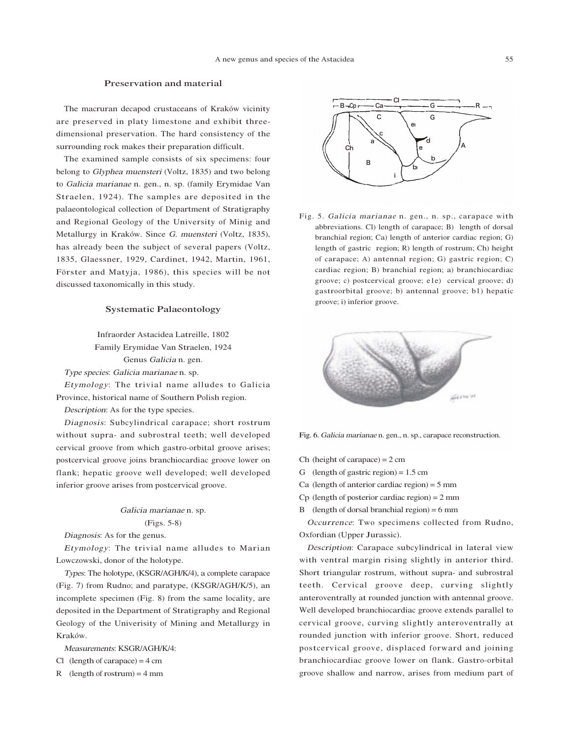## Preservation and material

The macruran decapod crustaceans of Kraków vicinity are preserved in platy limestone and exhibit threedimensional preservation. The hard consistency of the surrounding rock makes their preparation difficult.

The examined sample consists of six specimens: four belong to <sup>G</sup>lyphe<sup>a</sup> <sup>m</sup>uenster<sup>i</sup> (Voltz, 1835) and two belong to Galici<sup>a</sup> <sup>m</sup>ariana<sup>e</sup> n. gen., n. sp. (family Erymidae Van Straelen, 1924). The samples are deposited in the palaeontological collection of Department of Stratigraphy and Regional Geology of the University of Minig and Metallurgy in Kraków. Since G. <sup>m</sup>uenster<sup>i</sup> (Voltz, 1835), has already been the subject of several papers (Voltz, 1835, Glaessner, 1929, Cardinet, 1942, Martin, 1961, Förster and Matyja, 1986), this species will be not discussed taxonomically in this study.

### Systematic Palaeontology

Infraorder Astacidea Latreille, 1802 Family Erymidae Van Straelen, 1924 Genus Galici<sup>a</sup> n. gen. <sup>T</sup>yp<sup>e</sup> species: Galici<sup>a</sup> <sup>m</sup>ariana<sup>e</sup> n. sp. Etymology: The trivial name alludes to Galicia

Province, historical name of Southern Polish region.

<sup>D</sup>escription: As for the type species.

<sup>D</sup>iagnosis: Subcylindrical carapace; short rostrum without supra- and subrostral teeth; well developed cervical groove from which gastro-orbital groove arises; postcervical groove joins branchiocardiac groove lower on flank; hepatic groove well developed; well developed inferior groove arises from postcervical groove.

# Galici<sup>a</sup> <sup>m</sup>ariana<sup>e</sup> n. sp. (Figs. 5-8)

<sup>D</sup>iagnosis: As for the genus.

Etymology: The trivial name alludes to Marian Lowczowski, donor of the holotype.

<sup>T</sup>ypes: The holotype, (KSGR/AGH/K/4), a complete carapace (Fig. 7) from Rudno; and paratype, (KSGR/AGH/K/5), an incomplete specimen (Fig. 8) from the same locality, are deposited in the Department of Stratigraphy and Regional Geology of the Univerisity of Mining and Metallurgy in Kraków.

<sup>M</sup>easurements: KSGR/AGH/K/4:

- Cl (length of carapace) =  $4 \text{ cm}$
- R (length of rostrum) =  $4 \text{ mm}$



Fig. 5. <sup>G</sup>alici<sup>a</sup> <sup>m</sup>ariana<sup>e</sup> n. gen., n. sp., carapace with abbreviations. Cl) length of carapace; B) length of dorsal branchial region; Ca) length of anterior cardiac region; G) length of gastric region; R) length of rostrum; Ch) height of carapace; A) antennal region; G) gastric region; C) cardiac region; B) branchial region; a) branchiocardiac groove; c) postcervical groove; e1e) cervical groove; d) gastroorbital groove; b) antennal groove; b1) hepatic groove; i) inferior groove.



Fig. 6. <sup>G</sup>alici<sup>a</sup> <sup>m</sup>ariana<sup>e</sup> n. gen., n. sp., carapace reconstruction.

- Ch (height of carapace)  $= 2$  cm
- G (length of gastric region) =  $1.5 \text{ cm}$
- Ca (length of anterior cardiac region)  $=$  5 mm
- Cp (length of posterior cardiac region) = 2 mm
- B (length of dorsal branchial region) =  $6 \text{ mm}$

<sup>O</sup>ccurrence: Two specimens collected from Rudno, Oxfordian (Upper Jurassic).

<sup>D</sup>escription: Carapace subcylindrical in lateral view with ventral margin rising slightly in anterior third. Short triangular rostrum, without supra- and subrostral teeth. Cervical groove deep, curving slightly anteroventrally at rounded junction with antennal groove. Well developed branchiocardiac groove extends parallel to cervical groove, curving slightly anteroventrally at rounded junction with inferior groove. Short, reduced postcervical groove, displaced forward and joining branchiocardiac groove lower on flank. Gastro-orbital groove shallow and narrow, arises from medium part of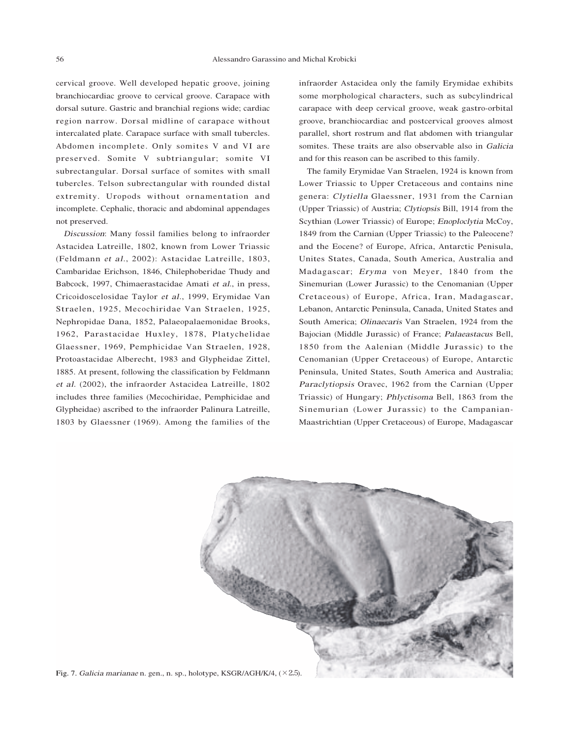cervical groove. Well developed hepatic groove, joining branchiocardiac groove to cervical groove. Carapace with dorsal suture. Gastric and branchial regions wide; cardiac region narrow. Dorsal midline of carapace without intercalated plate. Carapace surface with small tubercles. Abdomen incomplete. Only somites V and VI are preserved. Somite V subtriangular; somite VI subrectangular. Dorsal surface of somites with small tubercles. Telson subrectangular with rounded distal extremity. Uropods without ornamentation and incomplete. Cephalic, thoracic and abdominal appendages not preserved.

<sup>D</sup>iscussion: Many fossil families belong to infraorder Astacidea Latreille, 1802, known from Lower Triassic (Feldmann <sup>e</sup><sup>t</sup> <sup>a</sup>l., 2002): Astacidae Latreille, 1803, Cambaridae Erichson, 1846, Chilephoberidae Thudy and Babcock, 1997, Chimaerastacidae Amati <sup>e</sup><sup>t</sup> <sup>a</sup>l., in press, Cricoidoscelosidae Taylor <sup>e</sup><sup>t</sup> <sup>a</sup>l., 1999, Erymidae Van Straelen, 1925, Mecochiridae Van Straelen, 1925, Nephropidae Dana, 1852, Palaeopalaemonidae Brooks, 1962, Parastacidae Huxley, 1878, Platychelidae Glaessner, 1969, Pemphicidae Van Straelen, 1928, Protoastacidae Alberecht, 1983 and Glypheidae Zittel, 1885. At present, following the classification by Feldmann <sup>e</sup><sup>t</sup> <sup>a</sup>l. (2002), the infraorder Astacidea Latreille, 1802 includes three families (Mecochiridae, Pemphicidae and Glypheidae) ascribed to the infraorder Palinura Latreille, 1803 by Glaessner (1969). Among the families of the infraorder Astacidea only the family Erymidae exhibits some morphological characters, such as subcylindrical carapace with deep cervical groove, weak gastro-orbital groove, branchiocardiac and postcervical grooves almost parallel, short rostrum and flat abdomen with triangular somites. These traits are also observable also in Galici<sup>a</sup> and for this reason can be ascribed to this family.

The family Erymidae Van Straelen, 1924 is known from Lower Triassic to Upper Cretaceous and contains nine genera: <sup>C</sup>lytiell<sup>a</sup> Glaessner, 1931 from the Carnian (Upper Triassic) of Austria; <sup>C</sup>lytiopsi<sup>s</sup> Bill, 1914 from the Scythian (Lower Triassic) of Europe; <sup>E</sup>noploclyti<sup>a</sup> <sup>M</sup>cCoy, 1849 from the Carnian (Upper Triassic) to the Paleocene? and the Eocene? of Europe, Africa, Antarctic Penisula, Unites States, Canada, South America, Australia and Madagascar; <sup>E</sup><sup>r</sup>y<sup>m</sup><sup>a</sup> von Meyer, 1840 from the Sinemurian (Lower Jurassic) to the Cenomanian (Upper Cretaceous) of Europe, Africa, Iran, Madagascar, Lebanon, Antarctic Peninsula, Canada, United States and South America; <sup>O</sup>linaecari<sup>s</sup> Van Straelen, 1924 from the Bajocian (Middle Jurassic) of France; <sup>P</sup>alaeastacus Bell, 1850 from the Aalenian (Middle Jurassic) to the Cenomanian (Upper Cretaceous) of Europe, Antarctic Peninsula, United States, South America and Australia; <sup>P</sup>araclytiopsi<sup>s</sup> Oravec, 1962 from the Carnian (Upper Triassic) of Hungary; <sup>P</sup>hlyctisom<sup>a</sup> Bell, 1863 from the Sinemurian (Lower Jurassic) to the Campanian-Maastrichtian (Upper Cretaceous) of Europe, Madagascar



Fig. 7. <sup>G</sup>alici<sup>a</sup> <sup>m</sup>ariana<sup>e</sup> n. gen., n. sp., holotype, KSGR/AGH/K/4, (×2.5).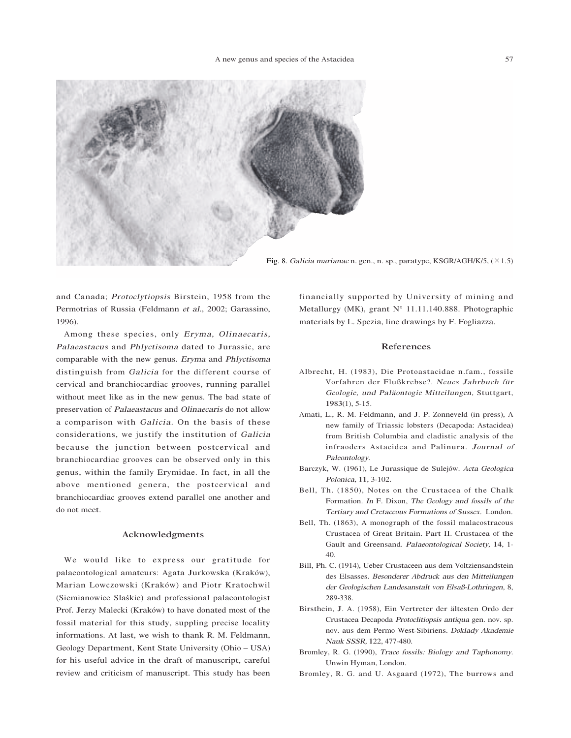

Fig. 8. <sup>G</sup>alici<sup>a</sup> <sup>m</sup>ariana<sup>e</sup> n. gen., n. sp., paratype, KSGR/AGH/K/5, (×1.5)

and Canada; <sup>P</sup>rotoclytiopsi<sup>s</sup> Birstein, 1958 from the Permotrias of Russia (Feldmann <sup>e</sup><sup>t</sup> <sup>a</sup>l., 2002; Garassino, 1996).

Among these species, only Eryma, Olinaecaris, <sup>P</sup>alaeastacus and <sup>P</sup>hlyctisom<sup>a</sup> dated to Jurassic, are comparable with the new genus. <sup>E</sup><sup>r</sup>y<sup>m</sup><sup>a</sup> and <sup>P</sup>hlyctisom<sup>a</sup> distinguish from Galici<sup>a</sup> for the different course of cervical and branchiocardiac grooves, running parallel without meet like as in the new genus. The bad state of preservation of <sup>P</sup>alaeastacus and <sup>O</sup>linaecari<sup>s</sup> do not allow a comparison with Galicia. On the basis of these considerations, we justify the institution of Galici<sup>a</sup> because the junction between postcervical and branchiocardiac grooves can be observed only in this genus, within the family Erymidae. In fact, in all the above mentioned genera, the postcervical and branchiocardiac grooves extend parallel one another and do not meet.

#### Acknowledgments

We would like to express our gratitude for palaeontological amateurs: Agata Jurkowska (Kraków), Marian Lowczowski (Kraków) and Piotr Kratochwil (Siemianowice Slas´kie) and professional palaeontologist Prof. Jerzy Malecki (Kraków) to have donated most of the fossil material for this study, suppling precise locality informations. At last, we wish to thank R. M. Feldmann, Geology Department, Kent State University (Ohio – USA) for his useful advice in the draft of manuscript, careful review and criticism of manuscript. This study has been financially supported by University of mining and Metallurgy (MK), grant N° 11.11.140.888. Photographic materials by L. Spezia, line drawings by F. Fogliazza.

### References

- Albrecht, H. (1983), Die Protoastacidae n.fam., fossile Vorfahren der Flußkrebse?. <sup>N</sup><sup>e</sup>ue<sup>s</sup> <sup>J</sup>ahrbu<sup>c</sup><sup>h</sup> <sup>f</sup>ü<sup>r</sup> Geologi<sup>e</sup>, und <sup>P</sup>aläontogi<sup>e</sup> <sup>M</sup>itteilungen, Stuttgart, 1983(1), 5-15.
- Amati, L., R. M. Feldmann, and J. P. Zonneveld (in press), A new family of Triassic lobsters (Decapoda: Astacidea) from British Columbia and cladistic analysis of the infraoders Astacidea and Palinura. Journal of Paleontology.
- Barczyk, W. (1961), Le Jurassique de Sulejów. <sup>A</sup>cta <sup>G</sup>eologic<sup>a</sup> <sup>P</sup>olonica, 11, 3-102.
- Bell, Th. (1850), Notes on the Crustacea of the Chalk Formation. <sup>I</sup><sup>n</sup> F. Dixon, <sup>T</sup>h<sup>e</sup> <sup>G</sup>eolog<sup>y</sup> <sup>a</sup>nd fossils of <sup>t</sup>h<sup>e</sup> <sup>T</sup>ertiar<sup>y</sup> <sup>a</sup>nd Cretaceous <sup>F</sup>ormations of Sussex. London.
- Bell, Th. (1863), A monograph of the fossil malacostracous Crustacea of Great Britain. Part II. Crustacea of the Gault and Greensand. <sup>P</sup>alaeontologica<sup>l</sup> <sup>S</sup>ociety, 14, 1- 40.
- Bill, Ph. C. (1914), Ueber Crustaceen aus dem Voltziensandstein des Elsasses. Besondere<sup>r</sup> Abd<sup>r</sup>u<sup>c</sup>k <sup>a</sup>us de<sup>n</sup> Mitteilunge<sup>n</sup> de<sup>r</sup> Geologische<sup>n</sup> Landesanstal<sup>t</sup> <sup>v</sup>o<sup>n</sup> Elsaß-Lothringen, 8, 289-338.
- Birsthein, J. A. (1958), Ein Vertreter der ältesten Ordo der Crustacea Decapoda <sup>P</sup>rotoclitiopsis <sup>a</sup>ntiqu<sup>a</sup> gen. nov. sp. nov. aus dem Permo West-Sibiriens. <sup>D</sup>oklad<sup>y</sup> <sup>A</sup>kademi<sup>e</sup> <sup>N</sup><sup>a</sup>u<sup>k</sup> SSSR, 122, 477-480.
- Bromley, R. G. (1990), Trace fossils: <sup>B</sup>iolog<sup>y</sup> <sup>a</sup>nd Taphono<sup>m</sup>y. Unwin Hyman, London.
- Bromley, R. G. and U. Asgaard (1972), The burrows and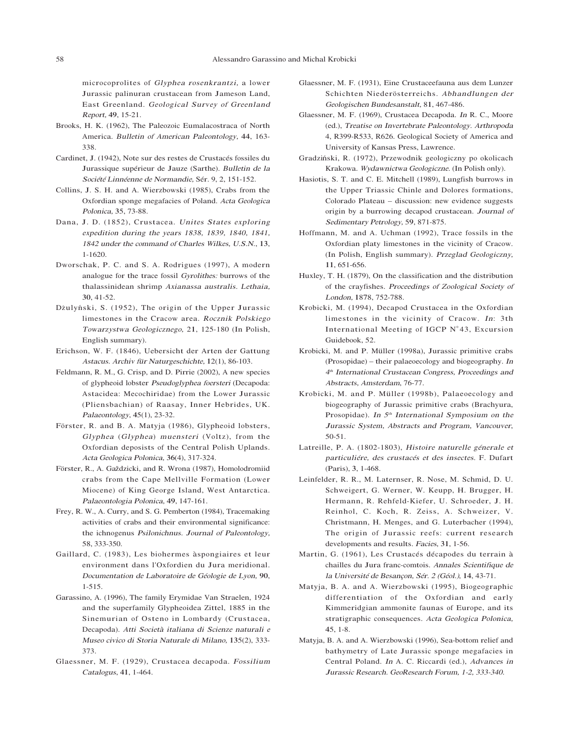microcoprolites of Glyphe<sup>a</sup> <sup>r</sup>osenkrantzi, a lower Jurassic palinuran crustacean from Jameson Land, East Greenland. Geological Su<sup>r</sup>vey of Greenland <sup>R</sup>eport, 49, 15-21.

- Brooks, H. K. (1962), The Paleozoic Eumalacostraca of North America. <sup>B</sup>ulletin of <sup>A</sup>merica<sup>n</sup> <sup>P</sup>aleontology, 44, 163- 338.
- Cardinet, J. (1942), Note sur des restes de Crustacés fossiles du Jurassique supérieur de Jauze (Sarthe). <sup>B</sup>ulletin <sup>d</sup><sup>e</sup> <sup>l</sup><sup>a</sup> <sup>S</sup>ociét<sup>é</sup> Linnéenn<sup>e</sup> <sup>d</sup><sup>e</sup> <sup>N</sup>ormandi<sup>e</sup>, Sér. 9, 2, 151-152.
- Collins, J. S. H. and A. Wierzbowski (1985), Crabs from the Oxfordian sponge megafacies of Poland. <sup>A</sup>cta <sup>G</sup>eologic<sup>a</sup> <sup>P</sup>olonica, 35, 73-88.
- Dana, J. D. (1852), Crustacea. <sup>U</sup>nite<sup>s</sup> <sup>S</sup>tate<sup>s</sup> explorin<sup>g</sup> expeditio<sup>n</sup> during <sup>t</sup>h<sup>e</sup> year<sup>s</sup> 1838, 1839, 1840, 1841, <sup>1842</sup> unde<sup>r</sup> <sup>t</sup>h<sup>e</sup> command of <sup>C</sup>harle<sup>s</sup> <sup>W</sup>ilkes, <sup>U</sup>.S.N., 13, 1-1620.
- Dworschak, P. C. and S. A. Rodrigues (1997), A modern analogue for the trace fossil <sup>G</sup>y<sup>r</sup>olithes: burrows of the thalassinidean shrimp Axianass<sup>a</sup> <sup>a</sup>ustralis. Lethai<sup>a</sup>, 30, 41-52.
- Dżulyński, S. (1952), The origin of the Upper Jurassic limestones in the Cracow area. <sup>R</sup>oczni<sup>k</sup> <sup>P</sup>olskieg<sup>o</sup> <sup>T</sup>owarzystw<sup>a</sup> <sup>G</sup>eologi<sup>c</sup>zneg<sup>o</sup>, 21, 125-180 (In Polish, English summary).
- Erichson, W. F. (1846), Uebersicht der Arten der Gattung <sup>A</sup>stacus. <sup>A</sup>rchiv <sup>f</sup>ü<sup>r</sup> <sup>N</sup>atu<sup>r</sup>geschichte, 12(1), 86-103.
- Feldmann, R. M., G. Crisp, and D. Pirrie (2002), A new species of glypheoid lobster Pseudoglyphe<sup>a</sup> foerster<sup>i</sup> (Decapoda: Astacidea: Mecochiridae) from the Lower Jurassic (Pliensbachian) of Raasay, Inner Hebrides, UK. <sup>P</sup>alaeontology, 45(1), 23-32.
- Förster, R. and B. A. Matyja (1986), Glypheoid lobsters, Glyphea (Glyphea) muensteri (Voltz), from the Oxfordian deposists of the Central Polish Uplands. <sup>A</sup>cta <sup>G</sup>eologic<sup>a</sup> <sup>P</sup>olonica, 36(4), 317-324.
- Förster, R., A. Gaždzicki, and R. Wrona (1987), Homolodromiid crabs from the Cape Mellville Formation (Lower Miocene) of King George Island, West Antarctica. <sup>P</sup>alaeontologi<sup>a</sup> <sup>P</sup>olonica, 49, 147-161.
- Frey, R. W., A. Curry, and S. G. Pemberton (1984), Tracemaking activities of crabs and their environmental significance: the ichnogenus Psilonichnus. <sup>J</sup><sup>o</sup>urna<sup>l</sup> of <sup>P</sup>aleontology, 58, 333-350.
- Gaillard, C. (1983), Les biohermes àspongiaires et leur environment dans l'Oxfordien du Jura meridional. <sup>D</sup>ocumentatio<sup>n</sup> <sup>d</sup><sup>e</sup> <sup>L</sup>aboratoir<sup>e</sup> <sup>d</sup><sup>e</sup> <sup>G</sup>éologi<sup>e</sup> <sup>d</sup><sup>e</sup> <sup>L</sup>yo<sup>n</sup>, 90, 1-515.
- Garassino, A. (1996), The family Erymidae Van Straelen, 1924 and the superfamily Glypheoidea Zittel, 1885 in the Sinemurian of Osteno in Lombardy (Crustacea, Decapoda). <sup>A</sup>tt<sup>i</sup> <sup>S</sup>ocietà <sup>i</sup>talian<sup>a</sup> di <sup>S</sup>cienz<sup>e</sup> <sup>n</sup>aturali <sup>e</sup> <sup>M</sup>useo <sup>c</sup>ivico di <sup>S</sup>tori<sup>a</sup> <sup>N</sup>atural<sup>e</sup> di <sup>M</sup>ilano, 135(2), 333- 373.
- Glaessner, M. F. (1929), Crustacea decapoda. <sup>F</sup>ossilium Catalogus, 41, 1-464.
- Glaessner, M. F. (1931), Eine Crustaceefauna aus dem Lunzer Schichten Niederösterreichs. <sup>A</sup>bhandlunge<sup>n</sup> <sup>d</sup>e<sup>r</sup> <sup>G</sup>eologische<sup>n</sup> <sup>B</sup>undesanstalt, 81, 467-486.
- Glaessner, M. F. (1969), Crustacea Decapoda. <sup>I</sup><sup>n</sup> R. C., Moore (ed.), Treatis<sup>e</sup> <sup>o</sup><sup>n</sup> <sup>I</sup>nvertebrat<sup>e</sup> <sup>P</sup>aleontology. <sup>A</sup>rthropod<sup>a</sup> 4, R399-R533, R626. Geological Society of America and University of Kansas Press, Lawrence.
- Gradziński, R. (1972), Przewodnik geologiczny po okolicach Krakowa. <sup>W</sup>ydawnictw<sup>a</sup> <sup>G</sup>eologi<sup>c</sup>zne. (In Polish only).
- Hasiotis, S. T. and C. E. Mitchell (1989), Lungfish burrows in the Upper Triassic Chinle and Dolores formations, Colorado Plateau – discussion: new evidence suggests origin by a burrowing decapod crustacean. <sup>J</sup><sup>o</sup>urna<sup>l</sup> of <sup>S</sup>edimentar<sup>y</sup> <sup>P</sup>etrology, 59, 871-875.
- Hoffmann, M. and A. Uchman (1992), Trace fossils in the Oxfordian platy limestones in the vicinity of Cracow. (In Polish, English summary). <sup>P</sup><sup>r</sup>z<sup>e</sup>gla<sup>d</sup> <sup>G</sup>eologi<sup>c</sup>z<sup>n</sup>y, 11, 651-656.
- Huxley, T. H. (1879), On the classification and the distribution of the crayfishes. <sup>P</sup>roceeding<sup>s</sup> of <sup>Z</sup>oologica<sup>l</sup> <sup>S</sup>ociet<sup>y</sup> of <sup>L</sup>ondon, 1878, 752-788.
- Krobicki, M. (1994), Decapod Crustacea in the Oxfordian limestones in the vicinity of Cracow. In: 3th International Meeting of IGCP N°43, Excursion Guidebook, 52.
- Krobicki, M. and P. Müller (1998a), Jurassic primitive crabs (Prosopidae) – their palaeoecology and biogeography. <sup>I</sup><sup>n</sup> 4t<sup>h</sup> International Crustacea<sup>n</sup> Congress, Proceeding<sup>s</sup> <sup>a</sup>nd <sup>A</sup>bstracts, <sup>A</sup>msterdam, 76-77.
- Krobicki, M. and P. Müller (1998b), Palaeoecology and biogeography of Jurassic primitive crabs (Brachyura, Prosopidae). In  $5<sup>th</sup> International Symposium on the$ Jurassi<sup>c</sup> System, Abstract<sup>s</sup> <sup>a</sup>nd Program, Vancouver, 50-51.
- Latreille, P. A. (1802-1803), <sup>H</sup>istoir<sup>e</sup> <sup>n</sup>aturell<sup>e</sup> <sup>g</sup>éneral<sup>e</sup> <sup>e</sup><sup>t</sup> <sup>p</sup>articuliére, <sup>d</sup>e<sup>s</sup> <sup>c</sup>rustacé<sup>s</sup> <sup>e</sup><sup>t</sup> <sup>d</sup>e<sup>s</sup> insectes. F. Dufart (Paris), 3, 1-468.
- Leinfelder, R. R., M. Laternser, R. Nose, M. Schmid, D. U. Schweigert, G. Werner, W. Keupp, H. Brugger, H. Hermann, R. Rehfeld-Kiefer, U. Schroeder, J. H. Reinhol, C. Koch, R. Zeiss, A. Schweizer, V. Christmann, H. Menges, and G. Luterbacher (1994), The origin of Jurassic reefs: current research developments and results. <sup>F</sup>acies, 31, 1-56.
- Martin, G. (1961), Les Crustacés décapodes du terrain à chailles du Jura franc-comtois. <sup>A</sup>nnale<sup>s</sup> <sup>S</sup>cientifiqu<sup>e</sup> <sup>d</sup><sup>e</sup> <sup>l</sup><sup>a</sup> <sup>U</sup>niversit<sup>é</sup> <sup>d</sup><sup>e</sup> <sup>B</sup>esanço<sup>n</sup>, <sup>S</sup>é<sup>r</sup>. <sup>2</sup> (Géol.), 14, 43-71.
- Matyja, B. A. and A. Wierzbowski (1995), Biogeographic differentiation of the Oxfordian and early Kimmeridgian ammonite faunas of Europe, and its stratigraphic consequences. <sup>A</sup>cta <sup>G</sup>eologic<sup>a</sup> <sup>P</sup>olonica, 45, 1-8.
- Matyja, B. A. and A. Wierzbowski (1996), Sea-bottom relief and bathymetry of Late Jurassic sponge megafacies in Central Poland. <sup>I</sup><sup>n</sup> A. C. Riccardi (ed.), <sup>A</sup>dvance<sup>s</sup> in Jurassi<sup>c</sup> Research. GeoResearch Forum, 1-2, 333-340.